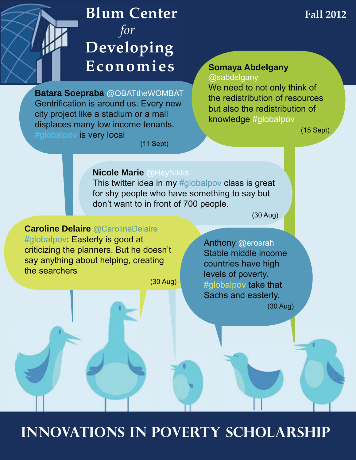# **Blum Center**  *for* **Developing Economies**

**Batara Soepraba** @OBATtheWOMBAT Gentrification is around us. Every new city project like a stadium or a mall displaces many low income tenants. #globalpov is very local

#### **Somaya Abdelgany**  @sabdelgany

We need to not only think of the redistribution of resources but also the redistribution of knowledge #globalpov

 $(15$  Sept)

 $(11$  Sept)

### **Nicole Marie @HevNikks**

This twitter idea in my  $#$ globalpov class is great for shy people who have something to say but don't want to in front of 700 people.

 $(30$  Aug)

### **Caroline Delaire** @CarolineDelaire

#globalpov: Easterly is good at criticizing the planners. But he doesn't say anything about helping, creating the searchers

 $(30$  Aug)

Anthony @erosrah Stable middle income countries have high levels of poverty. #globalpov take that Sachs and easterly.  $(30$  Aug)

**Innovations in Poverty Scholarship**

# **Fall 2012**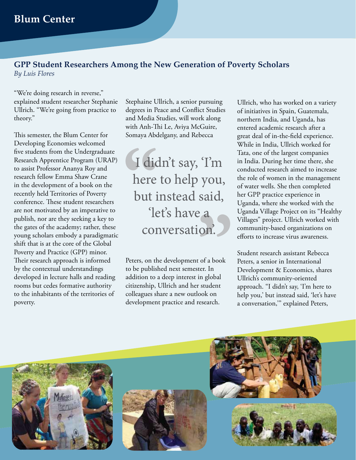#### **GPP Student Researchers Among the New Generation of Poverty Scholars** *By Luis Flores*

"We're doing research in reverse," explained student researcher Stephanie Ullrich. "We're going from practice to theory."

This semester, the Blum Center for Developing Economies welcomed five students from the Undergraduate Research Apprentice Program (URAP) to assist Professor Ananya Roy and research fellow Emma Shaw Crane in the development of a book on the recently held Territories of Poverty conference. These student researchers are not motivated by an imperative to publish, nor are they seeking a key to the gates of the academy; rather, these young scholars embody a paradigmatic shift that is at the core of the Global Poverty and Practice (GPP) minor. Their research approach is informed by the contextual understandings developed in lecture halls and reading rooms but cedes formative authority to the inhabitants of the territories of poverty.

Stephaine Ullrich, a senior pursuing degrees in Peace and Conflict Studies and Media Studies, will work along with Anh-Thi Le, Aviya McGuire, Somaya Abdelgany, and Rebecca

with Anh-II<br>Somaya Abd<br>**1** dic<br>here<br>but i **said**,<br> **a**<br> **ion.**<br> **b**<br> **c**<br> **d**<br> **d**<br> **d**<br> **d**<br> **d**<br> **d**<br> **d** I didn't say, 'I'm here to help you, but instead said, 'let's have a conversation'.

Peters, on the development of a book to be published next semester. In addition to a deep interest in global citizenship, Ullrich and her student colleagues share a new outlook on development practice and research.

Ullrich, who has worked on a variety of initiatives in Spain, Guatemala, northern India, and Uganda, has entered academic research after a great deal of in-the-field experience. While in India, Ullrich worked for Tata, one of the largest companies in India. During her time there, she conducted research aimed to increase the role of women in the management of water wells. She then completed her GPP practice experience in Uganda, where she worked with the Uganda Village Project on its "Healthy Villages" project. Ullrich worked with community-based organizations on efforts to increase virus awareness.

Student research assistant Rebecca Peters, a senior in International Development & Economics, shares Ullrich's community-oriented approach. "I didn't say, 'I'm here to help you,' but instead said, 'let's have a conversation,'" explained Peters,





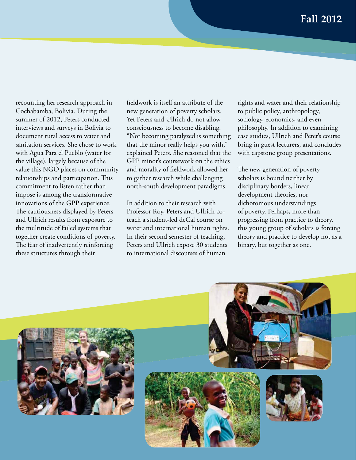recounting her research approach in Cochabamba, Bolivia. During the summer of 2012, Peters conducted interviews and surveys in Bolivia to document rural access to water and sanitation services. She chose to work with Agua Para el Pueblo (water for the village), largely because of the value this NGO places on community relationships and participation. This commitment to listen rather than impose is among the transformative innovations of the GPP experience. The cautiousness displayed by Peters and Ullrich results from exposure to the multitude of failed systems that together create conditions of poverty. The fear of inadvertently reinforcing these structures through their

fieldwork is itself an attribute of the new generation of poverty scholars. Yet Peters and Ullrich do not allow consciousness to become disabling. "Not becoming paralyzed is something that the minor really helps you with," explained Peters. She reasoned that the GPP minor's coursework on the ethics and morality of fieldwork allowed her to gather research while challenging north-south development paradigms.

In addition to their research with Professor Roy, Peters and Ullrich coteach a student-led deCal course on water and international human rights. In their second semester of teaching, Peters and Ullrich expose 30 students to international discourses of human

rights and water and their relationship to public policy, anthropology, sociology, economics, and even philosophy. In addition to examining case studies, Ullrich and Peter's course bring in guest lecturers, and concludes with capstone group presentations.

The new generation of poverty scholars is bound neither by disciplinary borders, linear development theories, nor dichotomous understandings of poverty. Perhaps, more than progressing from practice to theory, this young group of scholars is forcing theory and practice to develop not as a binary, but together as one.



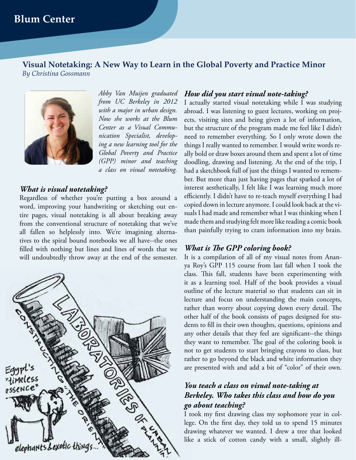**Visual Notetaking: A New Way to Learn in the Global Poverty and Practice Minor** *By Christina Gossmann*



*Abby Van Muijen graduated from UC Berkeley in 2012 with a major in urban design. Now she works at the Blum Center as a Visual Communication Specialist, developing a new learning tool for the Global Poverty and Practice (GPP) minor and teaching a class on visual notetaking.*

#### *What is visual notetaking?*

Regardless of whether you're putting a box around a word, improving your handwriting or sketching out entire pages, visual notetaking is all about breaking away from the conventional structure of notetaking that we've all fallen so helplessly into. We're imagining alternatives to the spiral bound notebooks we all have--the ones filled with nothing but lines and lines of words that we will undoubtedly throw away at the end of the semester.



#### *How did you start visual note-taking?*

I actually started visual notetaking while I was studying abroad. I was listening to guest lectures, working on projects, visiting sites and being given a lot of information, but the structure of the program made me feel like I didn't need to remember everything. So I only wrote down the things I really wanted to remember. I would write words really bold or draw boxes around them and spent a lot of time doodling, drawing and listening. At the end of the trip, I had a sketchbook full of just the things I wanted to remember. But more than just having pages that sparked a lot of interest aesthetically, I felt like I was learning much more efficiently. I didn't have to re-teach myself everything I had copied down in lecture anymore. I could look back at the visuals I had made and remember what I was thinking when I made them and studying felt more like reading a comic book than painfully trying to cram information into my brain.

#### *What is The GPP coloring book?*

It is a compilation of all of my visual notes from Ananya Roy's GPP 115 course from last fall when I took the class. This fall, students have been experimenting with it as a learning tool. Half of the book provides a visual outline of the lecture material so that students can sit in lecture and focus on understanding the main concepts, rather than worry about copying down every detail. The other half of the book consists of pages designed for students to fill in their own thoughts, questions, opinions and any other details that they feel are significant--the things they want to remember. The goal of the coloring book is not to get students to start bringing crayons to class, but rather to go beyond the black and white information they are presented with and add a bit of "color" of their own.

### *You teach a class on visual note-taking at Berkeley. Who takes this class and how do you go about teaching?*

I took my first drawing class my sophomore year in college. On the first day, they told us to spend 15 minutes drawing whatever we wanted. I drew a tree that looked like a stick of cotton candy with a small, slightly ill-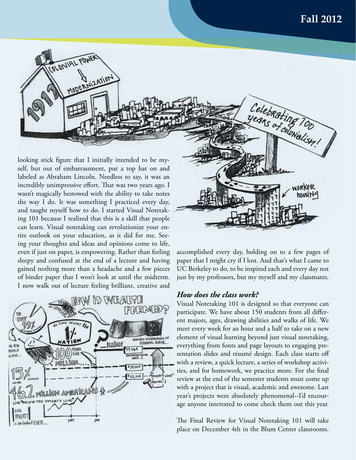

looking stick figure that I initially intended to be myself, but out of embarrassment, put a top hat on and labeled as Abraham Lincoln. Needless to say, it was an incredibly unimpressive effort. That was two years ago. I wasn't magically bestowed with the ability to take notes the way I do. It was something I practiced every day, and taught myself how to do. I started Visual Notetaking 101 because I realized that this is a skill that people can learn. Visual notetaking can revolutionize your entire outlook on your education, as it did for me. Seeing your thoughts and ideas and opinions come to life, even if just on paper, is empowering. Rather than feeling sleepy and confused at the end of a lecture and having gained nothing more than a headache and a few pieces of binder paper that I won't look at until the midterm. I now walk out of lecture feeling brilliant, creative and





accomplished every day, holding on to a few pages of paper that I might cry if I lost. And that's what I came to UC Berkeley to do, to be inspired each and every day not just by my professors, but my myself and my classmates.

#### *How does the class work?*

Visual Notetaking 101 is designed so that everyone can participate. We have about 150 students from all different majors, ages, drawing abilities and walks of life. We meet every week for an hour and a half to take on a new element of visual learning beyond just visual notetaking, everything from fonts and page layouts to engaging presentation slides and résumé design. Each class starts off with a review, a quick lecture, a series of workshop activities, and for homework, we practice more. For the final review at the end of the semester students must come up with a project that is visual, academic and awesome. Last year's projects were absolutely phenomenal--I'd encourage anyone interested to come check them out this year.

The Final Review for Visual Notetaking 101 will take place on December 4th in the Blum Center classrooms.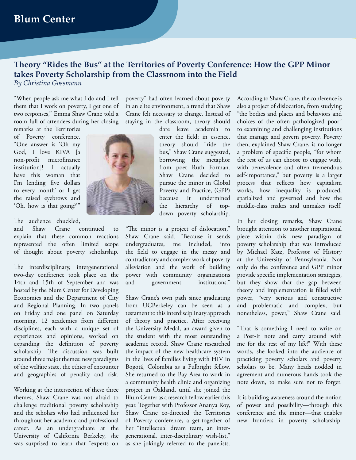#### **Theory "Rides the Bus" at the Territories of Poverty Conference: How the GPP Minor takes Poverty Scholarship from the Classroom into the Field** *By Christina Gossmann*

"When people ask me what I do and I tell them that I work on poverty, I get one of two responses," Emma Shaw Crane told a room full of attendees during her closing

remarks at the Territories of Poverty conference. "One answer is 'Oh my God, I love KIVA [a non-profit microfinance institution]! I actually have this woman that I'm lending five dollars to every month' or I get the raised eyebrows and 'Oh, how is that going?'"

The audience chuckled,

and Shaw Crane continued to explain that these common reactions represented the often limited scope of thought about poverty scholarship.

The interdisciplinary, intergenerational two-day conference took place on the 14th and 15th of September and was hosted by the Blum Center for Developing Economies and the Department of City and Regional Planning. In two panels on Friday and one panel on Saturday morning, 12 academics from different disciplines, each with a unique set of experiences and opinions, worked on expanding the definition of poverty scholarship. The discussion was built around three major themes: new paradigms of the welfare state, the ethics of encounter and geographies of penality and risk.

Working at the intersection of these three themes, Shaw Crane was not afraid to challenge traditional poverty scholarship and the scholars who had influenced her throughout her academic and professional career. As an undergraduate at the University of California Berkeley, she was surprised to learn that "experts on

poverty" had often learned about poverty in an elite environment, a trend that Shaw Crane felt necessary to change. Instead of staying in the classroom, theory should

dare leave academia to enter the field; in essence, theory should "ride the bus," Shaw Crane suggested, borrowing the metaphor from poet Ruth Forman. Shaw Crane decided to pursue the minor in Global Poverty and Practice, (GPP) because it undermined the hierarchy of topdown poverty scholarship.

"The minor is a project of dislocation," Shaw Crane said. "Because it sends undergraduates, me included, into the field to engage in the messy and contradictory and complex work of poverty alleviation and the work of building power with community organizations and government institutions."

Shaw Crane's own path since graduating from UCBerkeley can be seen as a testament to this interdisciplinary approach of theory and practice. After receiving the University Medal, an award given to the student with the most outstanding academic record, Shaw Crane researched the impact of the new healthcare system in the lives of families living with HIV in Bogotá, Colombia as a Fulbright fellow. She returned to the Bay Area to work in a community health clinic and organizing project in Oakland, until she joined the Blum Center as a research fellow earlier this year. Together with Professor Ananya Roy, Shaw Crane co-directed the Territories of Poverty conference, a get-together of her "intellectual dream team, an intergenerational, inter-disciplinary wish-list," as she jokingly referred to the panelists.

According to Shaw Crane, the conference is also a project of dislocation, from studying "the bodies and places and behaviors and choices of the often pathologized poor" to examining and challenging institutions that manage and govern poverty. Poverty then, explained Shaw Crane, is no longer a problem of specific people, "for whom the rest of us can choose to engage with, with benevolence and often tremendous self-importance," but poverty is a larger process that reflects how capitalism works, how inequality is produced, spatialized and governed and how the middle-class makes and unmakes itself.

In her closing remarks, Shaw Crane brought attention to another inspirational piece within this new paradigm of poverty scholarship that was introduced by Michael Katz, Professor of History at the University of Pennsylvania. Not only do the conference and GPP minor provide specific implementation strategies, but they show that the gap between theory and implementation is filled with power, "very serious and constructive and problematic and complex, but nonetheless, power," Shaw Crane said.

"That is something I need to write on a Post-It note and carry around with me for the rest of my life!" With these words, she looked into the audience of practicing poverty scholars and poverty scholars to be. Many heads nodded in agreement and numerous hands took the note down, to make sure not to forget.

It is building awareness around the notion of power and possibility—through this conference and the minor—that enables new frontiers in poverty scholarship.

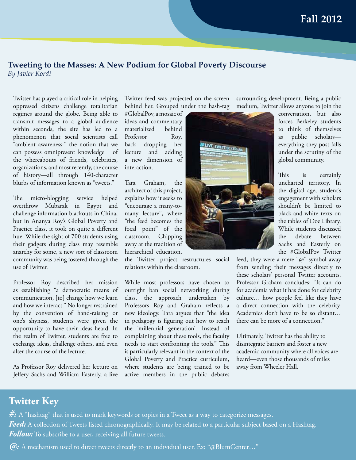# **Tweeting to the Masses: A New Podium for Global Poverty Discourse**

*By Javier Kordi*

Twitter has played a critical role in helping oppressed citizens challenge totalitarian regimes around the globe. Being able to transmit messages to a global audience within seconds, the site has led to a phenomenon that social scientists call "ambient awareness:" the notion that we can possess omnipresent knowledge of the whereabouts of friends, celebrities, organizations, and most recently, the course of history—all through 140-character blurbs of information known as "tweets."

The micro-blogging service helped overthrow Mubarak in Egypt and challenge information blackouts in China, but in Ananya Roy's Global Poverty and Practice class, it took on quite a different hue. While the sight of 700 students using their gadgets during class may resemble anarchy for some, a new sort of classroom community was being fostered through the use of Twitter.

Professor Roy described her mission as establishing "a democratic means of communication, [to] change how we learn and how we interact." No longer restrained by the convention of hand-raising or one's shyness, students were given the opportunity to have their ideas heard. In the realm of Twitter, students are free to exchange ideas, challenge others, and even alter the course of the lecture.

As Professor Roy delivered her lecture on Jeffery Sachs and William Easterly, a live Twitter feed was projected on the screen behind her. Grouped under the hash-tag

#GlobalPov, a mosaic of ideas and commentary materialized behind Professor Roy, back dropping her lecture and adding a new dimension of interaction.

Tara Graham, the architect of this project, explains how it seeks to "encourage a many-tomany lecture", where "the feed becomes the focal point" of the classroom. Chipping away at the tradition of hierarchical education,

the Twitter project restructures social relations within the classroom.

While most professors have chosen to outright ban social networking during class, the approach undertaken by Professors Roy and Graham reflects a new ideology. Tara argues that "the idea in pedagogy is figuring out how to reach the 'millennial generation'. Instead of complaining about these tools, the faculty needs to start confronting the tools." This is particularly relevant in the context of the Global Poverty and Practice curriculum, where students are being trained to be active members in the public debates

surrounding development. Being a public medium, Twitter allows anyone to join the

> conversation, but also forces Berkeley students to think of themselves as public scholars everything they post falls under the scrutiny of the global community.

> This is certainly uncharted territory. In the digital age, student's engagement with scholars shouldn't be limited to black-and-white texts on the tables of Doe Library. While students discussed the debate between Sachs and Easterly on the #GlobalPov Twitter

feed, they were a mere "@" symbol away from sending their messages directly to these scholars' personal Twitter accounts. Professor Graham concludes: "It can do for academia what it has done for celebrity culture… how people feel like they have a direct connection with the celebrity. Academics don't have to be so distant… there can be more of a connection."

Ultimately, Twitter has the ability to disintegrate barriers and foster a new academic community where all voices are heard—even those thousands of miles away from Wheeler Hall.

### **Twitter Key**

**#:** A "hashtag" that is used to mark keywords or topics in a Tweet as a way to categorize messages. *Feed:* A collection of Tweets listed chronographically. It may be related to a particular subject based on a Hashtag. *Follow:* To subscribe to a user, receiving all future tweets.

*@:* A mechanism used to direct tweets directly to an individual user. Ex: "@BlumCenter…"